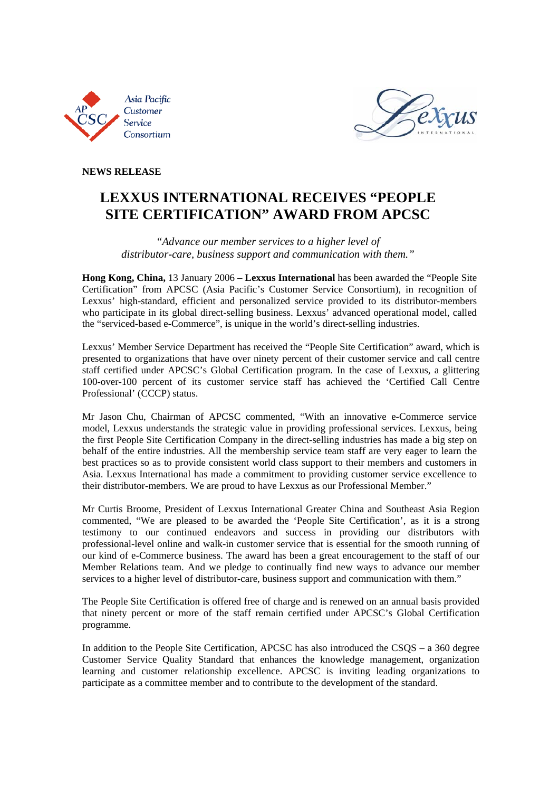



### **NEWS RELEASE**

## **LEXXUS INTERNATIONAL RECEIVES "PEOPLE SITE CERTIFICATION" AWARD FROM APCSC**

*"Advance our member services to a higher level of distributor-care, business support and communication with them."* 

**Hong Kong, China,** 13 January 2006 – **Lexxus International** has been awarded the "People Site Certification" from APCSC (Asia Pacific's Customer Service Consortium), in recognition of Lexxus' high-standard, efficient and personalized service provided to its distributor-members who participate in its global direct-selling business. Lexxus' advanced operational model, called the "serviced-based e-Commerce", is unique in the world's direct-selling industries.

Lexxus' Member Service Department has received the "People Site Certification" award, which is presented to organizations that have over ninety percent of their customer service and call centre staff certified under APCSC's Global Certification program. In the case of Lexxus, a glittering 100-over-100 percent of its customer service staff has achieved the 'Certified Call Centre Professional' (CCCP) status.

Mr Jason Chu, Chairman of APCSC commented, "With an innovative e-Commerce service model, Lexxus understands the strategic value in providing professional services. Lexxus, being the first People Site Certification Company in the direct-selling industries has made a big step on behalf of the entire industries. All the membership service team staff are very eager to learn the best practices so as to provide consistent world class support to their members and customers in Asia. Lexxus International has made a commitment to providing customer service excellence to their distributor-members. We are proud to have Lexxus as our Professional Member."

Mr Curtis Broome, President of Lexxus International Greater China and Southeast Asia Region commented, "We are pleased to be awarded the 'People Site Certification', as it is a strong testimony to our continued endeavors and success in providing our distributors with professional-level online and walk-in customer service that is essential for the smooth running of our kind of e-Commerce business. The award has been a great encouragement to the staff of our Member Relations team. And we pledge to continually find new ways to advance our member services to a higher level of distributor-care, business support and communication with them."

The People Site Certification is offered free of charge and is renewed on an annual basis provided that ninety percent or more of the staff remain certified under APCSC's Global Certification programme.

In addition to the People Site Certification, APCSC has also introduced the CSQS – a 360 degree Customer Service Quality Standard that enhances the knowledge management, organization learning and customer relationship excellence. APCSC is inviting leading organizations to participate as a committee member and to contribute to the development of the standard.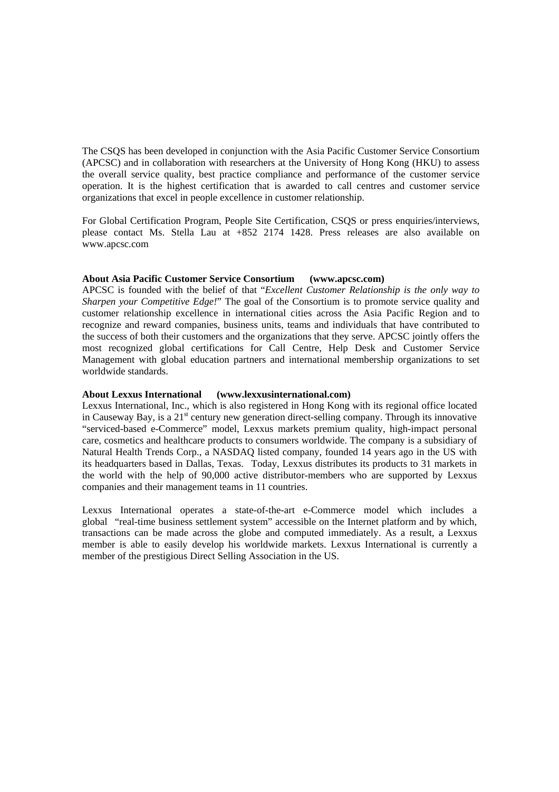The CSQS has been developed in conjunction with the Asia Pacific Customer Service Consortium (APCSC) and in collaboration with researchers at the University of Hong Kong (HKU) to assess the overall service quality, best practice compliance and performance of the customer service operation. It is the highest certification that is awarded to call centres and customer service organizations that excel in people excellence in customer relationship.

For Global Certification Program, People Site Certification, CSQS or press enquiries/interviews, please contact Ms. Stella Lau at +852 2174 1428. Press releases are also available on www.apcsc.com

#### **About Asia Pacific Customer Service Consortium (www.apcsc.com)**

APCSC is founded with the belief of that "*Excellent Customer Relationship is the only way to Sharpen your Competitive Edge!*" The goal of the Consortium is to promote service quality and customer relationship excellence in international cities across the Asia Pacific Region and to recognize and reward companies, business units, teams and individuals that have contributed to the success of both their customers and the organizations that they serve. APCSC jointly offers the most recognized global certifications for Call Centre, Help Desk and Customer Service Management with global education partners and international membership organizations to set worldwide standards.

#### **About Lexxus International (www.lexxusinternational.com)**

Lexxus International, Inc., which is also registered in Hong Kong with its regional office located in Causeway Bay, is a  $21<sup>st</sup>$  century new generation direct-selling company. Through its innovative "serviced-based e-Commerce" model, Lexxus markets premium quality, high-impact personal care, cosmetics and healthcare products to consumers worldwide. The company is a subsidiary of Natural Health Trends Corp., a NASDAQ listed company, founded 14 years ago in the US with its headquarters based in Dallas, Texas. Today, Lexxus distributes its products to 31 markets in the world with the help of 90,000 active distributor-members who are supported by Lexxus companies and their management teams in 11 countries.

Lexxus International operates a state-of-the-art e-Commerce model which includes a global "real-time business settlement system" accessible on the Internet platform and by which, transactions can be made across the globe and computed immediately. As a result, a Lexxus member is able to easily develop his worldwide markets. Lexxus International is currently a member of the prestigious Direct Selling Association in the US.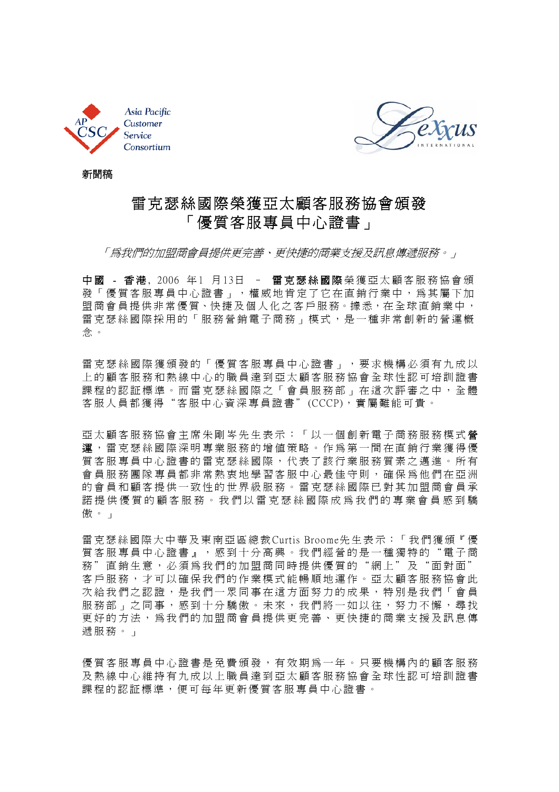



新聞稿

# 雷克瑟絲國際榮獲亞太顧客服務協會頒發 「優質客服專員中心證書」

「為我們的加盟商會員提供更完善、更快捷的商業支援及訊息傳遞服務。」

中國 - 香港, 2006 年1 月13日 - 雷克瑟絲國際榮獲亞太顧客服務協會頒 發「優質客服專員中心證書」,權威地肯定了它在直銷行業中,為其屬下加 盟商會員提供非常優質、快捷及個人化之客戶服務。據悉,在全球直銷業中, 雷克瑟絲國際採用的「服務營銷電子商務」模式,是一種非常創新的營運概 念。

雷克瑟絲國際獲頒發的「優質客服專員中心證書」,要求機構必須有九成以 上的顧客服務和熱線中心的職員達到亞太顧客服務協會全球性認可培訓證書 課程的認証標準。而雷克瑟絲國際之「會員服務部」在這次評審之中,全體 客服人員都獲得"客服中心資深專員證書"(CCCP),實屬難能可貴。

亞太顧客服務協會主席朱剛岑先生表示:「以一個創新電子商務服務模式 營 運 ,雷克瑟絲國際深明專業服務的增值策略。作為第一間在直銷行業獲得優 質客服專員中心證書的雷克瑟絲國際,代表了該行業服務質素之邁進。所有 會員服務團隊專員都非常熱衷地學習客服中心最佳守則,確保為他們在亞洲 的會員和顧客提供一致性的世界級服務。雷克瑟絲國際已對其加盟商會員承 諾提供優質的顧客服務。我們以雷克瑟絲國際成為我們的專業會員感到驕 傲。」

雷 克 瑟 絲 國 際 大 中 華 及 東 南 亞 區 總 裁 Curtis Broome先 生 表 示:「 我 們 獲 頒『 優 質客服專員中心證書』,感到十分高興。我們經營的是一種獨特的"電子商 務"直銷生意,必須為我們的加盟商同時提供優質的"網上"及"面對面" 客戶服務,才可以確保我們的作業模式能暢順地運作。亞太顧客服務協會此 次給我們之認證,是我們一眾同事在這方面努力的成果,特別是我們「會員 服務部」之同事,感到十分驕傲。未來,我們將一如以往,努力不懈,尋找 更好的方法,為我們的加盟商會員提供更完善、更快捷的商業支援及訊息傳 遞服務。」

優質客服專員中心證書是免費頒發,有效期為一年。只要機構內的顧客服務 及熱線中心維持有九成以上職員達到亞太顧客服務協會全球性認可培訓證書 課程的認証標準,便可每年更新優質客服專員中心證書。